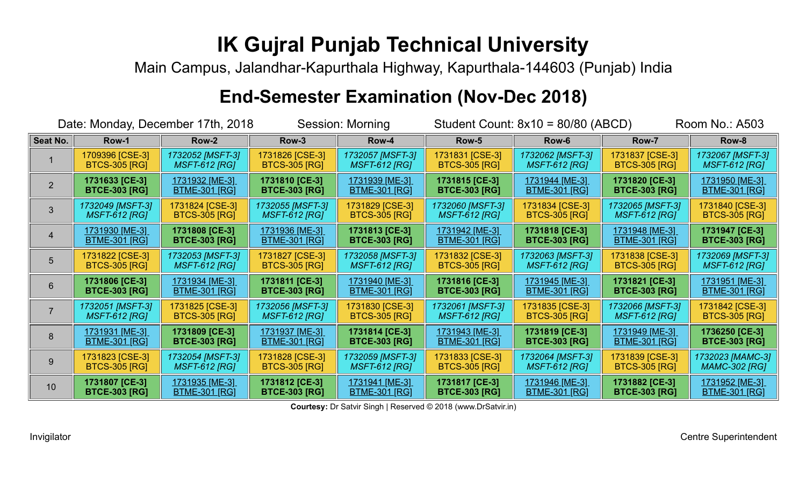Main Campus, Jalandhar-Kapurthala Highway, Kapurthala-144603 (Punjab) India

### **End-Semester Examination (Nov-Dec 2018)**

| Date: Monday, December 17th, 2018 |                       |                       | Session: Morning      |                        | Student Count: $8x10 = 80/80$ (ABCD) |                       |                       | Room No.: A503        |
|-----------------------------------|-----------------------|-----------------------|-----------------------|------------------------|--------------------------------------|-----------------------|-----------------------|-----------------------|
| Seat No.                          | Row-1                 | Row-2                 | Row-3                 | Row-4                  | Row-5                                | Row-6                 | Row-7                 | Row-8                 |
|                                   | 1709396 [CSE-3]       | 1732052 [MSFT-3]      | 1731826 [CSE-3]       | 1732057 [MSFT-3]       | 1731831 [CSE-3]                      | 1732062 [MSFT-3]      | 1731837 [CSE-3]       | 1732067 [MSFT-3]      |
|                                   | <b>BTCS-305 [RG]</b>  | <b>MSFT-612 [RG]</b>  | <b>BTCS-305 [RG]</b>  | <b>MSFT-612 [RG]</b>   | <b>BTCS-305 [RG]</b>                 | <b>MSFT-612 [RG]</b>  | <b>BTCS-305 [RG]</b>  | <b>MSFT-612 [RG]</b>  |
| $\overline{2}$                    | 1731633 [CE-3]        | 1731932 [ME-3]        | 1731810 [CE-3]        | <u>1731939 [ME-3] </u> | 1731815 [CE-3]                       | 1731944 [ME-3]        | 1731820 [CE-3]        | <u>1731950 [ME-3]</u> |
|                                   | <b>BTCE-303 [RG]</b>  | <b>BTME-301 [RG]</b>  | <b>BTCE-303 [RG]</b>  | <b>BTME-301 [RG]</b>   | <b>BTCE-303 [RG]</b>                 | <u>BTME-301 [RG]</u>  | <b>BTCE-303 [RG]</b>  | <b>BTME-301 [RG]</b>  |
| 3                                 | 1732049 [MSFT-3]      | 1731824 [CSE-3]       | 1732055 [MSFT-3]      | 1731829 [CSE-3]        | 1732060 [MSFT-3]                     | 1731834 [CSE-3]       | 1732065 [MSFT-3]      | 1731840 [CSE-3]       |
|                                   | <b>MSFT-612 [RG]</b>  | <b>BTCS-305 [RG]</b>  | <b>MSFT-612 [RG]</b>  | <b>BTCS-305 [RG]</b>   | <b>MSFT-612 [RG]</b>                 | <b>BTCS-305 [RG]</b>  | <b>MSFT-612 [RG]</b>  | <b>BTCS-305 [RG]</b>  |
|                                   | <u>1731930 [ME-3]</u> | 1731808 [CE-3]        | <u>1731936 [ME-3]</u> | 1731813 [CE-3]         | 1731942 [ME-3]                       | 1731818 [CE-3]        | <u>1731948 [ME-3]</u> | 1731947 [CE-3]        |
|                                   | <u>BTME-301 [RG]</u>  | <b>BTCE-303 [RG]</b>  | <u>BTME-301 [RG]</u>  | <b>BTCE-303 [RG]</b>   | <b>BTME-301 [RG]</b>                 | <b>BTCE-303 [RG]</b>  | <b>BTME-301 [RG]</b>  | <b>BTCE-303 [RG]</b>  |
| 5                                 | 1731822 [CSE-3]       | 1732053 [MSFT-3]      | 1731827 [CSE-3]       | 1732058 [MSFT-3]       | 1731832 [CSE-3]                      | 1732063 [MSFT-3]      | 1731838 [CSE-3]       | 1732069 [MSFT-3]      |
|                                   | <b>BTCS-305 [RG]</b>  | <b>MSFT-612 [RG]</b>  | <b>BTCS-305 [RG]</b>  | <b>MSFT-612 [RG]</b>   | <b>BTCS-305 [RG]</b>                 | <b>MSFT-612 [RG]</b>  | <b>BTCS-305 [RG]</b>  | <b>MSFT-612 [RG]</b>  |
| 6                                 | 1731806 [CE-3]        | <u>1731934 [ME-3]</u> | 1731811 [CE-3]        | <u>1731940 [ME-3]</u>  | 1731816 [CE-3]                       | <u>1731945 [ME-3]</u> | 1731821 [CE-3]        | 1731951 [ME-3]        |
|                                   | <b>BTCE-303 [RG]</b>  | <u>BTME-301 [RG]</u>  | <b>BTCE-303 [RG]</b>  | <b>BTME-301 [RG]</b>   | <b>BTCE-303 [RG]</b>                 | <b>BTME-301 [RG]</b>  | <b>BTCE-303 [RG]</b>  | <b>BTME-301 [RG]</b>  |
|                                   | 1732051 [MSFT-3]      | 1731825 [CSE-3]       | 1732056 [MSFT-3]      | 1731830 [CSE-3]        | 1732061 [MSFT-3]                     | 1731835 [CSE-3]       | 1732066 [MSFT-3]      | 1731842 [CSE-3]       |
|                                   | <b>MSFT-612 [RG]</b>  | <b>BTCS-305 [RG]</b>  | <b>MSFT-612 [RG]</b>  | <b>BTCS-305 [RG]</b>   | <b>MSFT-612 [RG]</b>                 | <b>BTCS-305 [RG]</b>  | <b>MSFT-612 [RG]</b>  | <b>BTCS-305 [RG]</b>  |
| 8                                 | <u>1731931 [ME-3]</u> | 1731809 [CE-3]        | <u>1731937 [ME-3]</u> | 1731814 [CE-3]         | <u>1731943 [ME-3]</u>                | 1731819 [CE-3]        | <u>1731949 [ME-3]</u> | 1736250 [CE-3]        |
|                                   | <b>BTME-301 [RG]</b>  | <b>BTCE-303 [RG]</b>  | <b>BTME-301 [RG]</b>  | <b>BTCE-303 [RG]</b>   | <b>BTME-301 [RG]</b>                 | <b>BTCE-303 [RG]</b>  | <b>BTME-301 [RG]</b>  | <b>BTCE-303 [RG]</b>  |
| 9                                 | 1731823 [CSE-3]       | 1732054 [MSFT-3]      | 1731828 [CSE-3]       | 1732059 [MSFT-3]       | 1731833 [CSE-3]                      | 1732064 [MSFT-3]      | 1731839 [CSE-3]       | 1732023 [MAMC-3]      |
|                                   | <b>BTCS-305 [RG]</b>  | <b>MSFT-612 [RG]</b>  | <b>BTCS-305 [RG]</b>  | <b>MSFT-612 [RG]</b>   | <b>BTCS-305 [RG]</b>                 | <b>MSFT-612 [RG]</b>  | <b>BTCS-305 [RG]</b>  | <b>MAMC-302 [RG]</b>  |
| 10                                | 1731807 [CE-3]        | 1731935 [ME-3]        | 1731812 [CE-3]        | <u>1731941 [ME-3]</u>  | 1731817 [CE-3]                       | <u>1731946 [ME-3]</u> | 1731882 [CE-3]        | 1731952 [ME-3]        |
|                                   | <b>BTCE-303 [RG]</b>  | <b>BTME-301 [RG]</b>  | <b>BTCE-303 [RG]</b>  | <b>BTME-301 [RG]</b>   | <b>BTCE-303 [RG]</b>                 | <b>BTME-301 [RG]</b>  | <b>BTCE-303 [RG]</b>  | <b>BTME-301 [RG]</b>  |

**Courtesy:** Dr Satvir Singh | Reserved © 2018 (www.DrSatvir.in)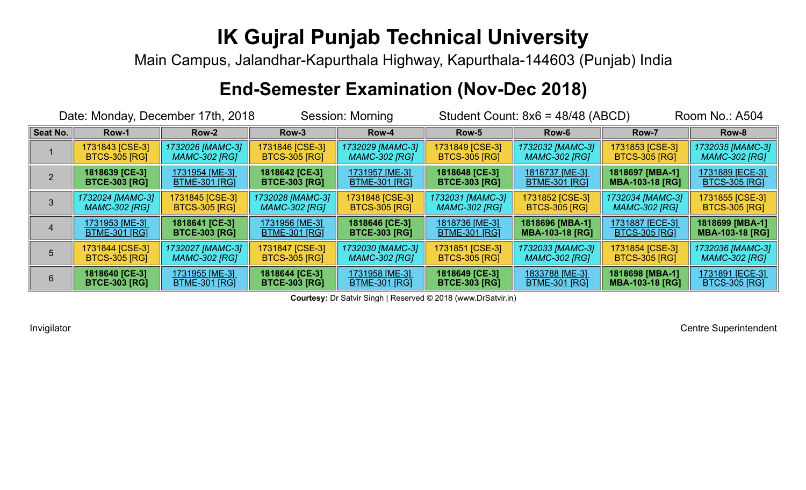Main Campus, Jalandhar-Kapurthala Highway, Kapurthala-144603 (Punjab) India

#### **End-Semester Examination (Nov-Dec 2018)**

| Date: Monday, December 17th, 2018 |                       |                       | Session: Morning      |                       |                       | Student Count: $8x6 = 48/48$ (ABCD) | Room No.: A504         |                        |
|-----------------------------------|-----------------------|-----------------------|-----------------------|-----------------------|-----------------------|-------------------------------------|------------------------|------------------------|
| <b>Seat No.</b>                   | Row-1                 | Row-2                 | Row-3                 | Row-4                 | Row-5                 | Row-6                               |                        | Row-8                  |
|                                   | 1731843 [CSE-3]       | 1732026 [MAMC-3]      | 1731846 [CSE-3]       | 1732029 [MAMC-3]      | 1731849 [CSE-3]       | 1732032 [MAMC-3]                    | 1731853 [CSE-3]        | 1732035 [MAMC-3]       |
|                                   | <b>BTCS-305 [RG]</b>  | <b>MAMC-302 [RG]</b>  | <b>BTCS-305 [RG]</b>  | <b>MAMC-302 [RG]</b>  | <b>BTCS-305 [RG]</b>  | <b>MAMC-302 [RG]</b>                | <b>BTCS-305 [RG]</b>   | MAMC-302 [RG]          |
|                                   | 1818639 [CE-3]        | <u>1731954 [ME-3]</u> | 1818642 [CE-3]        | <u>1731957 [ME-3]</u> | 1818648 [CE-3]        | 1818737 [ME-3]                      | 1818697 [MBA-1]        | <u>1731889 [ECE-3]</u> |
|                                   | <b>BTCE-303 [RG]</b>  | <u>BTME-301 [RG]</u>  | <b>BTCE-303 [RG]</b>  | <u>BTME-301 [RG]</u>  | <b>BTCE-303 [RG]</b>  | <u>BTME-301 [RG]</u>                | <b>MBA-103-18 [RG]</b> | <b>BTCS-305 [RG]</b>   |
|                                   | 1732024 [MAMC-3]      | 1731845 [CSE-3]       | 1732028 [MAMC-3]      | 1731848 [CSE-3]       | 1732031 [MAMC-3]      | 1731852 [CSE-3]                     | 1732034 [MAMC-3]       | 1731855 [CSE-3]        |
|                                   | <b>MAMC-302 [RG]</b>  | <b>BTCS-305 [RG]</b>  | <b>MAMC-302 [RG]</b>  | <b>BTCS-305 [RG]</b>  | <b>MAMC-302 [RG]</b>  | <b>BTCS-305 [RG]</b>                | <b>MAMC-302 [RG]</b>   | <b>BTCS-305 [RG]</b>   |
|                                   | <u>1731953 [ME-3]</u> | 1818641 [CE-3]        | <u>1731956 [ME-3]</u> | 1818646 [CE-3]        | <u>1818736 [ME-3]</u> | 1818696 [MBA-1]                     | <u>1731887 [ECE-3]</u> | 1818699 [MBA-1]        |
|                                   | <b>BTME-301 [RG]</b>  | <b>BTCE-303 [RG]</b>  | <u>BTME-301 [RG]</u>  | <b>BTCE-303 [RG]</b>  | <u>BTME-301 [RG]</u>  | <b>MBA-103-18 [RG]</b>              | <u>BTCS-305 [RG]</u>   | <b>MBA-103-18 [RG]</b> |
|                                   | 1731844 [CSE-3]       | 1732027 [MAMC-3]      | 1731847 [CSE-3]       | 1732030 [MAMC-3]      | 1731851 [CSE-3]       | 1732033 [MAMC-3]                    | 1731854 [CSE-3]        | 1732036 [MAMC-3]       |
|                                   | <b>BTCS-305 [RG]</b>  | <b>MAMC-302 [RG]</b>  | <b>BTCS-305 [RG]</b>  | <b>MAMC-302 [RG]</b>  | <b>BTCS-305 [RG]</b>  | <b>MAMC-302 [RG]</b>                | <b>BTCS-305 [RG]</b>   | <b>MAMC-302 [RG]</b>   |
| 6                                 | 1818640 [CE-3]        | <u>1731955 [ME-3]</u> | 1818644 [CE-3]        | <u>1731958 [ME-3]</u> | 1818649 [CE-3]        | <u>1833788 [ME-3]</u>               | 1818698 [MBA-1]        | <u>1731891 [ECE-3]</u> |
|                                   | <b>BTCE-303 [RG]</b>  | <b>BTME-301 [RG]</b>  | <b>BTCE-303 [RG]</b>  | <b>BTME-301 [RG]</b>  | <b>BTCE-303 [RG]</b>  | <b>BTME-301 [RG]</b>                | <b>MBA-103-18 [RG]</b> | <b>BTCS-305 [RG]</b>   |

**Courtesy:** Dr Satvir Singh | Reserved © 2018 (www.DrSatvir.in)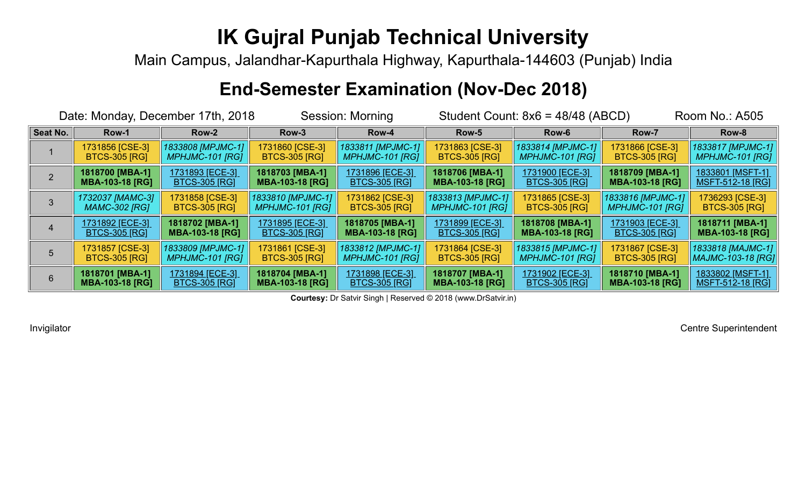Main Campus, Jalandhar-Kapurthala Highway, Kapurthala-144603 (Punjab) India

#### **End-Semester Examination (Nov-Dec 2018)**

| Date: Monday, December 17th, 2018 |                        |                        | <b>Session: Morning</b> |                         |                        | Student Count: $8x6 = 48/48$ (ABCD) | <b>Room No.: A505</b>  |                          |
|-----------------------------------|------------------------|------------------------|-------------------------|-------------------------|------------------------|-------------------------------------|------------------------|--------------------------|
| Seat No.                          | Row-1                  | Row-2                  | Row-3                   | Row-4                   | Row-5                  | Row-6                               |                        | Row-8                    |
|                                   | 1731856 [CSE-3]        | 1833808 [MPJMC-1]      | 1731860 [CSE-3]         | 1833811 [MPJMC-1]       | 1731863 [CSE-3]        | 1833814 [MPJMC-1]                   | 1731866 [CSE-3]        | 1833817 [MPJMC-1]        |
|                                   | <b>BTCS-305 [RG]</b>   | <b>MPHJMC-101 [RG]</b> | <b>BTCS-305 [RG]</b>    | <b>MPHJMC-101 [RG]</b>  | <b>BTCS-305 [RG]</b>   | <b>MPHJMC-101 [RG]</b>              | <b>BTCS-305 [RG]</b>   | <b>MPHJMC-101 [RG]</b>   |
|                                   | 1818700 [MBA-1]        | 1731893 [ECE-3]        | 1818703 [MBA-1]         | <u>1731896 [ECE-3]</u>  | 1818706 [MBA-1]        | <u>1731900 [ECE-3]</u>              | 1818709 [MBA-1]        | <u>1833801 [MSFT-1]</u>  |
|                                   | <b>MBA-103-18 [RG]</b> | <u>BTCS-305 [RG]</u>   | <b>MBA-103-18 [RG]</b>  | <b>BTCS-305 [RG]</b>    | <b>MBA-103-18 [RG]</b> | <b>BTCS-305 [RG]</b>                | <b>MBA-103-18 [RG]</b> | <u>MSFT-512-18 [RG]</u>  |
|                                   | 1732037 [MAMC-3]       | 1731858 [CSE-3]        | 1833810 [MPJMC-1]       | 1731862 [CSE-3]         | 1833813 [MPJMC-1]      | 1731865 [CSE-3]                     | 1833816 [MPJMC-1]      | 1736293 [CSE-3]          |
|                                   | <b>MAMC-302 [RG]</b>   | <b>BTCS-305 [RG]</b>   | <b>MPHJMC-101 [RG]</b>  | <b>BTCS-305 [RG]</b>    | <b>MPHJMC-101 [RG]</b> | <b>BTCS-305 [RG]</b>                | <b>MPHJMC-101 [RG]</b> | <b>BTCS-305 [RG]</b>     |
|                                   | <u>1731892 [ECE-3]</u> | 1818702 [MBA-1]        | 1731895 [ECE-3]         | 1818705 [MBA-1]         | 1731899 [ECE-3]        | 1818708 [MBA-1]                     | 1731903 [ECE-3]        | 1818711 [MBA-1]          |
|                                   | <u>BTCS-305 [RG]</u>   | <b>MBA-103-18 [RG]</b> | <b>BTCS-305 [RG]</b>    | <b>MBA-103-18 [RG]</b>  | <u>BTCS-305 [RG]</u>   | <b>MBA-103-18 [RG]</b>              | <u>BTCS-305 [RG]</u>   | <b>MBA-103-18 [RG]</b>   |
|                                   | 1731857 [CSE-3]        | 1833809 [MPJMC-1]      | 1731861 [CSE-3]         | 1833812 [MPJMC-1]       | 1731864 [CSE-3]        | 1833815 [MPJMC-1]                   | 1731867 [CSE-3]        | 1833818 [MAJMC-1]        |
|                                   | <b>BTCS-305 [RG]</b>   | <b>MPHJMC-101 [RG]</b> | <b>BTCS-305 [RG]</b>    | <b>MPHJMC-101 [RG]</b>  | <b>BTCS-305 [RG]</b>   | <b>MPHJMC-101 [RG]</b>              | <b>BTCS-305 [RG]</b>   | <b>MAJMC-103-18 [RG]</b> |
|                                   | 1818701 [MBA-1]        | <u>1731894 [ECE-3]</u> | 1818704 [MBA-1]         | <u>1731898 [ECE-3]_</u> | 1818707 [MBA-1]        | <u>1731902 [ECE-3]</u>              | 1818710 [MBA-1]        | 1833802 [MSFT-1]         |
|                                   | <b>MBA-103-18 [RG]</b> | <b>BTCS-305 [RG]</b>   | <b>MBA-103-18 [RG]</b>  | <b>BTCS-305 [RG]</b>    | <b>MBA-103-18 [RG]</b> | <b>BTCS-305 [RG]</b>                | <b>MBA-103-18 [RG]</b> | MSFT-512-18 [RG]         |

**Courtesy:** Dr Satvir Singh | Reserved © 2018 (www.DrSatvir.in)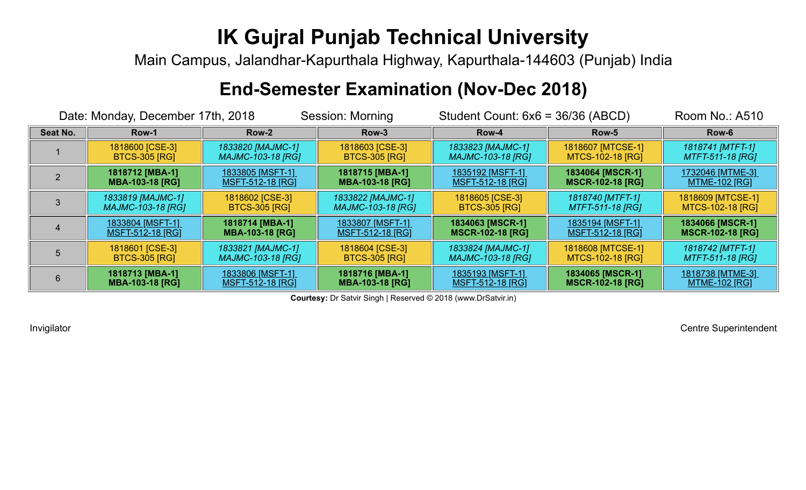Main Campus, Jalandhar-Kapurthala Highway, Kapurthala-144603 (Punjab) India

#### **End-Semester Examination (Nov-Dec 2018)**

|          | Date: Monday, December 17th, 2018 |                          | <b>Session: Morning</b>  | Student Count: $6x6 = 36/36$ (ABCD) | Room No.: A510          |                         |
|----------|-----------------------------------|--------------------------|--------------------------|-------------------------------------|-------------------------|-------------------------|
| Seat No. | Row-1                             | Row-2                    | Row-3                    | Row-4                               | Row-5                   | Row-6                   |
|          | 1818600 [CSE-3]                   | 1833820 [MAJMC-1]        | 1818603 [CSE-3]          | 1833823 [MAJMC-1]                   | 1818607 [MTCSE-1]       | 1818741 [MTFT-1]        |
|          | <b>BTCS-305 [RG]</b>              | <b>MAJMC-103-18 [RG]</b> | <b>BTCS-305 [RG]</b>     | <b>MAJMC-103-18 [RG]</b>            | MTCS-102-18 [RG]        | <b>MTFT-511-18 [RG]</b> |
|          | 1818712 [MBA-1]                   | <u>1833805 [MSFT-1]</u>  | 1818715 [MBA-1]          | <u>1835192 [MSFT-1]</u>             | 1834064 [MSCR-1]        | <u>1732046 [MTME-3]</u> |
|          | <b>MBA-103-18 [RG]</b>            | <u>MSFT-512-18 [RG]</u>  | <b>MBA-103-18 [RG]</b>   | <u>MSFT-512-18 [RG]</u>             | <b>MSCR-102-18 [RG]</b> | <u>MTME-102 [RG]</u>    |
|          | 1833819 [MAJMC-1]                 | 1818602 [CSE-3]          | 1833822 [MAJMC-1]        | 1818605 [CSE-3]                     | 1818740 [MTFT-1]        | 1818609 [MTCSE-1]       |
|          | <b>MAJMC-103-18 [RG]</b>          | <b>BTCS-305 [RG]</b>     | <b>MAJMC-103-18 [RG]</b> | <b>BTCS-305 [RG]</b>                | <b>MTFT-511-18 [RG]</b> | MTCS-102-18 [RG]        |
|          | <u>1833804 [MSFT-1]</u>           | 1818714 [MBA-1]          | <u>1833807 [MSFT-1]</u>  | 1834063 [MSCR-1]                    | <u>1835194 [MSFT-1]</u> | 1834066 [MSCR-1]        |
|          | <u>MSFT-512-18 [RG]</u>           | <b>MBA-103-18 [RG]</b>   | <u>MSFT-512-18 [RG]</u>  | <b>MSCR-102-18 [RG]</b>             | <u>MSFT-512-18 [RG]</u> | <b>MSCR-102-18 [RG]</b> |
|          | 1818601 [CSE-3]                   | 1833821 [MAJMC-1]        | 1818604 [CSE-3]          | 1833824 [MAJMC-1]                   | 1818608 [MTCSE-1]       | 1818742 [MTFT-1]        |
|          | <b>BTCS-305 [RG]</b>              | <b>MAJMC-103-18 [RG]</b> | <b>BTCS-305 [RG]</b>     | <b>MAJMC-103-18 [RG]</b>            | MTCS-102-18 [RG]        | <b>MTFT-511-18 [RG]</b> |
|          | 1818713 [MBA-1]                   | <u>1833806 [MSFT-1]</u>  | 1818716 [MBA-1]          | <u>1835193 [MSFT-1]</u>             | 1834065 [MSCR-1]        | <u>1818738 [MTME-3]</u> |
|          | <b>MBA-103-18 [RG]</b>            | <b>MSFT-512-18 [RG]</b>  | <b>MBA-103-18 [RG]</b>   | <b>MSFT-512-18 [RG]</b>             | <b>MSCR-102-18 [RG]</b> | <b>MTME-102 [RG]</b>    |

**Courtesy:** Dr Satvir Singh | Reserved © 2018 (www.DrSatvir.in)